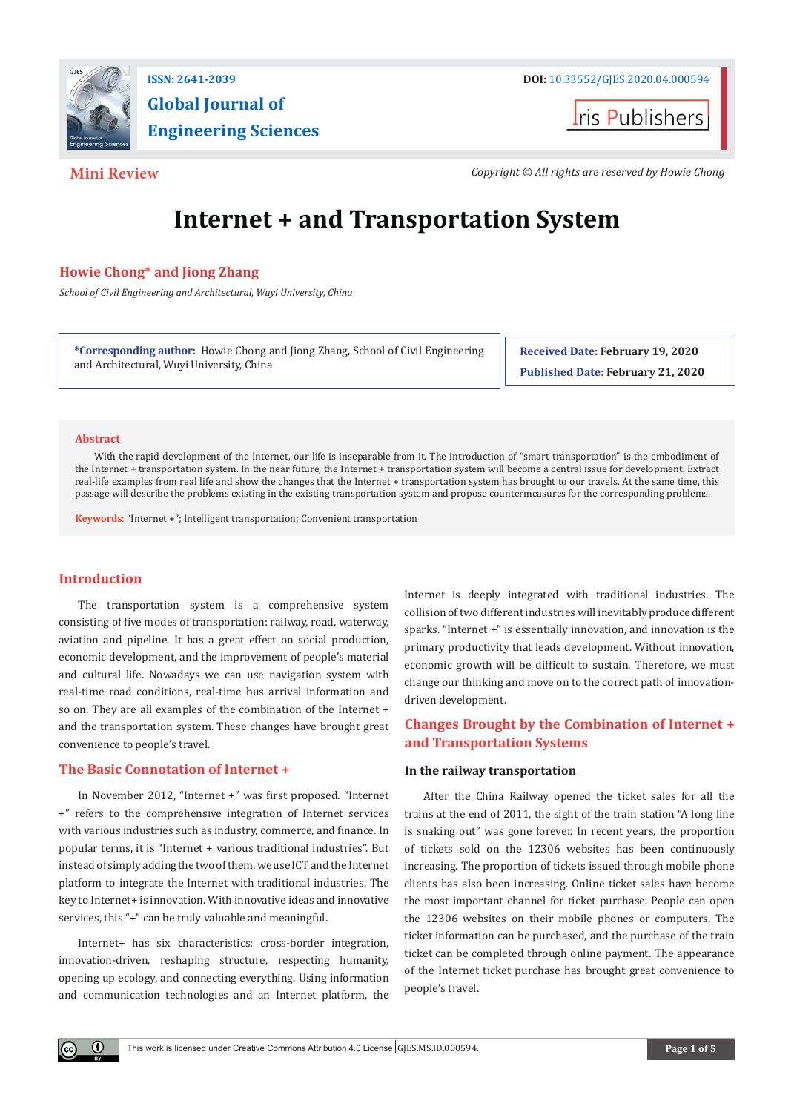

**Global Journal of Engineering Sciences**

**t**ris Publishers

**Mini Review** *Copyright © All rights are reserved by Howie Chong*

# **Internet + and Transportation System**

# **Howie Chong\* and Jiong Zhang**

*School of Civil Engineering and Architectural, Wuyi University, China*

**\*Corresponding author:** Howie Chong and Jiong Zhang, School of Civil Engineering and Architectural, Wuyi University, China

**Received Date: February 19, 2020 Published Date: February 21, 2020**

#### **Abstract**

With the rapid development of the Internet, our life is inseparable from it. The introduction of "smart transportation" is the embodiment of the Internet + transportation system. In the near future, the Internet + transportation system will become a central issue for development. Extract real-life examples from real life and show the changes that the Internet + transportation system has brought to our travels. At the same time, this passage will describe the problems existing in the existing transportation system and propose countermeasures for the corresponding problems.

**Keywords**: "Internet +"; Intelligent transportation; Convenient transportation

# **Introduction**

O.

The transportation system is a comprehensive system consisting of five modes of transportation: railway, road, waterway, aviation and pipeline. It has a great effect on social production, economic development, and the improvement of people's material and cultural life. Nowadays we can use navigation system with real-time road conditions, real-time bus arrival information and so on. They are all examples of the combination of the Internet + and the transportation system. These changes have brought great convenience to people's travel.

# **The Basic Connotation of Internet +**

In November 2012, "Internet +" was first proposed. "Internet +" refers to the comprehensive integration of Internet services with various industries such as industry, commerce, and finance. In popular terms, it is "Internet + various traditional industries". But instead of simply adding the two of them, we use ICT and the Internet platform to integrate the Internet with traditional industries. The key to Internet+ is innovation. With innovative ideas and innovative services, this "+" can be truly valuable and meaningful.

Internet+ has six characteristics: cross-border integration, innovation-driven, reshaping structure, respecting humanity, opening up ecology, and connecting everything. Using information and communication technologies and an Internet platform, the

Internet is deeply integrated with traditional industries. The collision of two different industries will inevitably produce different sparks. "Internet +" is essentially innovation, and innovation is the primary productivity that leads development. Without innovation, economic growth will be difficult to sustain. Therefore, we must change our thinking and move on to the correct path of innovationdriven development.

# **Changes Brought by the Combination of Internet + and Transportation Systems**

# **In the railway transportation**

After the China Railway opened the ticket sales for all the trains at the end of 2011, the sight of the train station "A long line is snaking out" was gone forever. In recent years, the proportion of tickets sold on the 12306 websites has been continuously increasing. The proportion of tickets issued through mobile phone clients has also been increasing. Online ticket sales have become the most important channel for ticket purchase. People can open the 12306 websites on their mobile phones or computers. The ticket information can be purchased, and the purchase of the train ticket can be completed through online payment. The appearance of the Internet ticket purchase has brought great convenience to people's travel.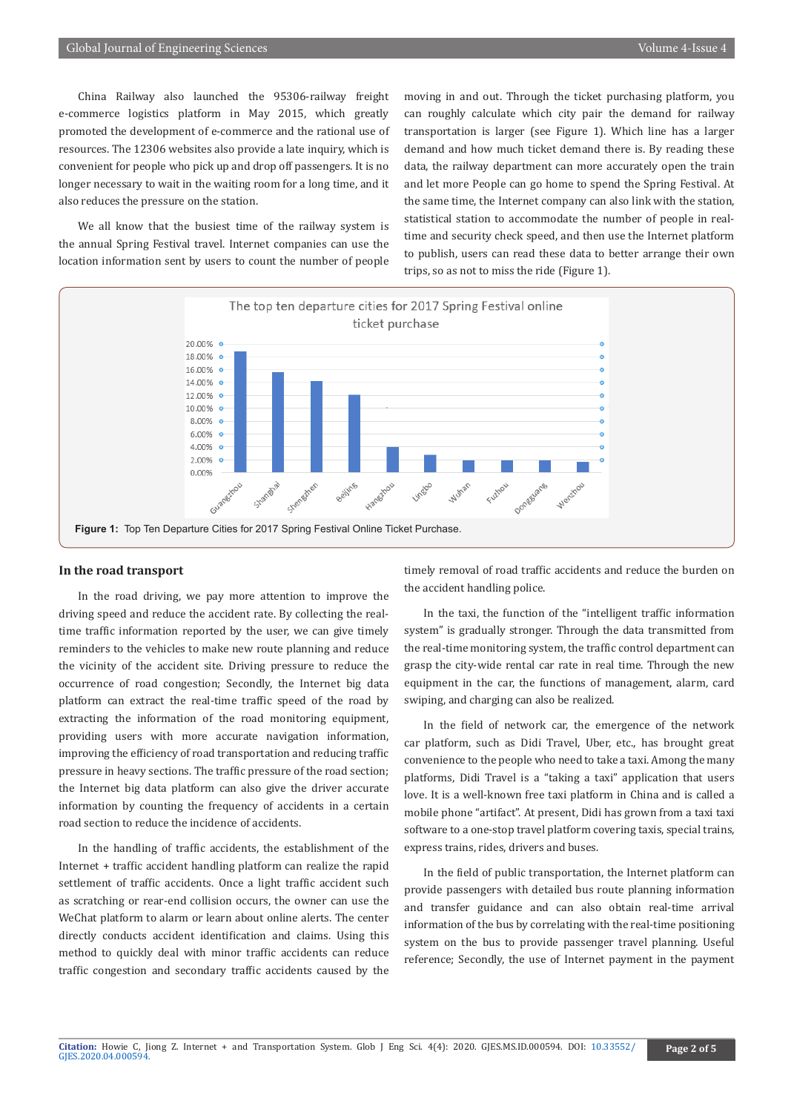China Railway also launched the 95306-railway freight e-commerce logistics platform in May 2015, which greatly promoted the development of e-commerce and the rational use of resources. The 12306 websites also provide a late inquiry, which is convenient for people who pick up and drop off passengers. It is no longer necessary to wait in the waiting room for a long time, and it also reduces the pressure on the station.

We all know that the busiest time of the railway system is the annual Spring Festival travel. Internet companies can use the location information sent by users to count the number of people moving in and out. Through the ticket purchasing platform, you can roughly calculate which city pair the demand for railway transportation is larger (see Figure 1). Which line has a larger demand and how much ticket demand there is. By reading these data, the railway department can more accurately open the train and let more People can go home to spend the Spring Festival. At the same time, the Internet company can also link with the station, statistical station to accommodate the number of people in realtime and security check speed, and then use the Internet platform to publish, users can read these data to better arrange their own trips, so as not to miss the ride (Figure 1).



# **In the road transport**

In the road driving, we pay more attention to improve the driving speed and reduce the accident rate. By collecting the realtime traffic information reported by the user, we can give timely reminders to the vehicles to make new route planning and reduce the vicinity of the accident site. Driving pressure to reduce the occurrence of road congestion; Secondly, the Internet big data platform can extract the real-time traffic speed of the road by extracting the information of the road monitoring equipment, providing users with more accurate navigation information, improving the efficiency of road transportation and reducing traffic pressure in heavy sections. The traffic pressure of the road section; the Internet big data platform can also give the driver accurate information by counting the frequency of accidents in a certain road section to reduce the incidence of accidents.

In the handling of traffic accidents, the establishment of the Internet + traffic accident handling platform can realize the rapid settlement of traffic accidents. Once a light traffic accident such as scratching or rear-end collision occurs, the owner can use the WeChat platform to alarm or learn about online alerts. The center directly conducts accident identification and claims. Using this method to quickly deal with minor traffic accidents can reduce traffic congestion and secondary traffic accidents caused by the

timely removal of road traffic accidents and reduce the burden on the accident handling police.

In the taxi, the function of the "intelligent traffic information system" is gradually stronger. Through the data transmitted from the real-time monitoring system, the traffic control department can grasp the city-wide rental car rate in real time. Through the new equipment in the car, the functions of management, alarm, card swiping, and charging can also be realized.

In the field of network car, the emergence of the network car platform, such as Didi Travel, Uber, etc., has brought great convenience to the people who need to take a taxi. Among the many platforms, Didi Travel is a "taking a taxi" application that users love. It is a well-known free taxi platform in China and is called a mobile phone "artifact". At present, Didi has grown from a taxi taxi software to a one-stop travel platform covering taxis, special trains, express trains, rides, drivers and buses.

In the field of public transportation, the Internet platform can provide passengers with detailed bus route planning information and transfer guidance and can also obtain real-time arrival information of the bus by correlating with the real-time positioning system on the bus to provide passenger travel planning. Useful reference; Secondly, the use of Internet payment in the payment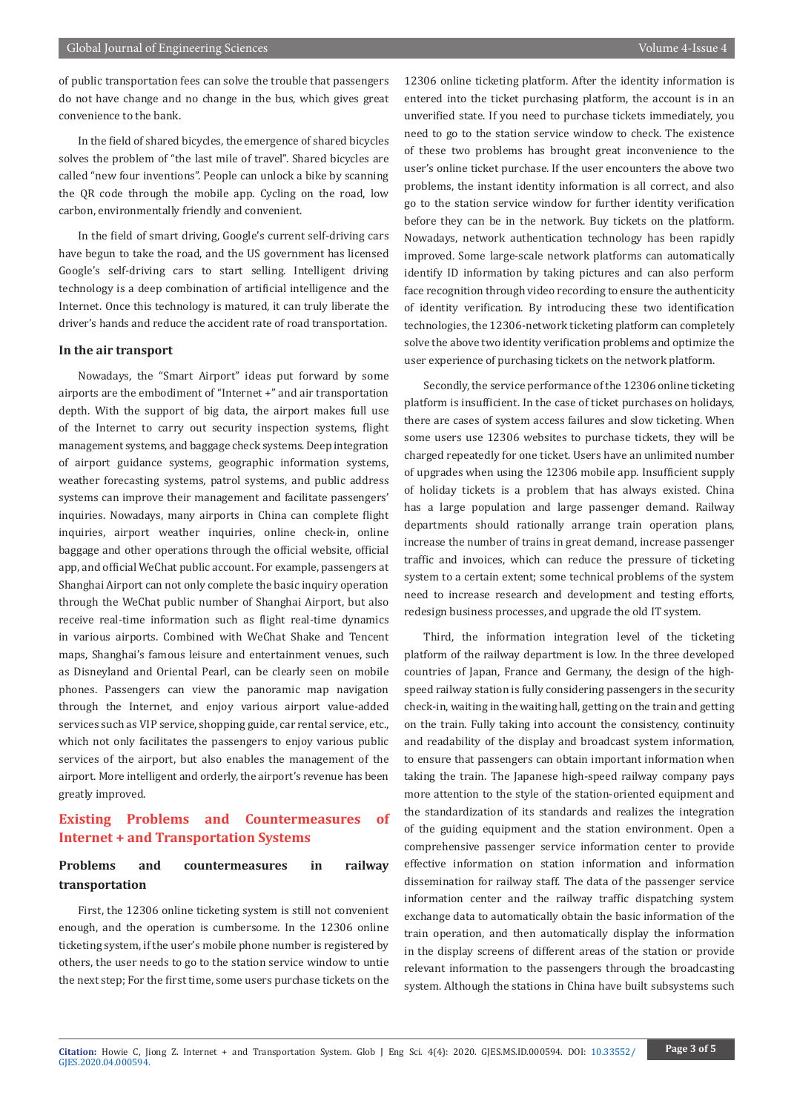of public transportation fees can solve the trouble that passengers do not have change and no change in the bus, which gives great convenience to the bank.

In the field of shared bicycles, the emergence of shared bicycles solves the problem of "the last mile of travel". Shared bicycles are called "new four inventions". People can unlock a bike by scanning the QR code through the mobile app. Cycling on the road, low carbon, environmentally friendly and convenient.

In the field of smart driving, Google's current self-driving cars have begun to take the road, and the US government has licensed Google's self-driving cars to start selling. Intelligent driving technology is a deep combination of artificial intelligence and the Internet. Once this technology is matured, it can truly liberate the driver's hands and reduce the accident rate of road transportation.

#### **In the air transport**

Nowadays, the "Smart Airport" ideas put forward by some airports are the embodiment of "Internet +" and air transportation depth. With the support of big data, the airport makes full use of the Internet to carry out security inspection systems, flight management systems, and baggage check systems. Deep integration of airport guidance systems, geographic information systems, weather forecasting systems, patrol systems, and public address systems can improve their management and facilitate passengers' inquiries. Nowadays, many airports in China can complete flight inquiries, airport weather inquiries, online check-in, online baggage and other operations through the official website, official app, and official WeChat public account. For example, passengers at Shanghai Airport can not only complete the basic inquiry operation through the WeChat public number of Shanghai Airport, but also receive real-time information such as flight real-time dynamics in various airports. Combined with WeChat Shake and Tencent maps, Shanghai's famous leisure and entertainment venues, such as Disneyland and Oriental Pearl, can be clearly seen on mobile phones. Passengers can view the panoramic map navigation through the Internet, and enjoy various airport value-added services such as VIP service, shopping guide, car rental service, etc., which not only facilitates the passengers to enjoy various public services of the airport, but also enables the management of the airport. More intelligent and orderly, the airport's revenue has been greatly improved.

# **Existing Problems and Countermeasures of Internet + and Transportation Systems**

# **Problems and countermeasures in railway transportation**

First, the 12306 online ticketing system is still not convenient enough, and the operation is cumbersome. In the 12306 online ticketing system, if the user's mobile phone number is registered by others, the user needs to go to the station service window to untie the next step; For the first time, some users purchase tickets on the 12306 online ticketing platform. After the identity information is entered into the ticket purchasing platform, the account is in an unverified state. If you need to purchase tickets immediately, you need to go to the station service window to check. The existence of these two problems has brought great inconvenience to the user's online ticket purchase. If the user encounters the above two problems, the instant identity information is all correct, and also go to the station service window for further identity verification before they can be in the network. Buy tickets on the platform. Nowadays, network authentication technology has been rapidly improved. Some large-scale network platforms can automatically identify ID information by taking pictures and can also perform face recognition through video recording to ensure the authenticity of identity verification. By introducing these two identification technologies, the 12306-network ticketing platform can completely solve the above two identity verification problems and optimize the user experience of purchasing tickets on the network platform.

Secondly, the service performance of the 12306 online ticketing platform is insufficient. In the case of ticket purchases on holidays, there are cases of system access failures and slow ticketing. When some users use 12306 websites to purchase tickets, they will be charged repeatedly for one ticket. Users have an unlimited number of upgrades when using the 12306 mobile app. Insufficient supply of holiday tickets is a problem that has always existed. China has a large population and large passenger demand. Railway departments should rationally arrange train operation plans, increase the number of trains in great demand, increase passenger traffic and invoices, which can reduce the pressure of ticketing system to a certain extent; some technical problems of the system need to increase research and development and testing efforts, redesign business processes, and upgrade the old IT system.

Third, the information integration level of the ticketing platform of the railway department is low. In the three developed countries of Japan, France and Germany, the design of the highspeed railway station is fully considering passengers in the security check-in, waiting in the waiting hall, getting on the train and getting on the train. Fully taking into account the consistency, continuity and readability of the display and broadcast system information, to ensure that passengers can obtain important information when taking the train. The Japanese high-speed railway company pays more attention to the style of the station-oriented equipment and the standardization of its standards and realizes the integration of the guiding equipment and the station environment. Open a comprehensive passenger service information center to provide effective information on station information and information dissemination for railway staff. The data of the passenger service information center and the railway traffic dispatching system exchange data to automatically obtain the basic information of the train operation, and then automatically display the information in the display screens of different areas of the station or provide relevant information to the passengers through the broadcasting system. Although the stations in China have built subsystems such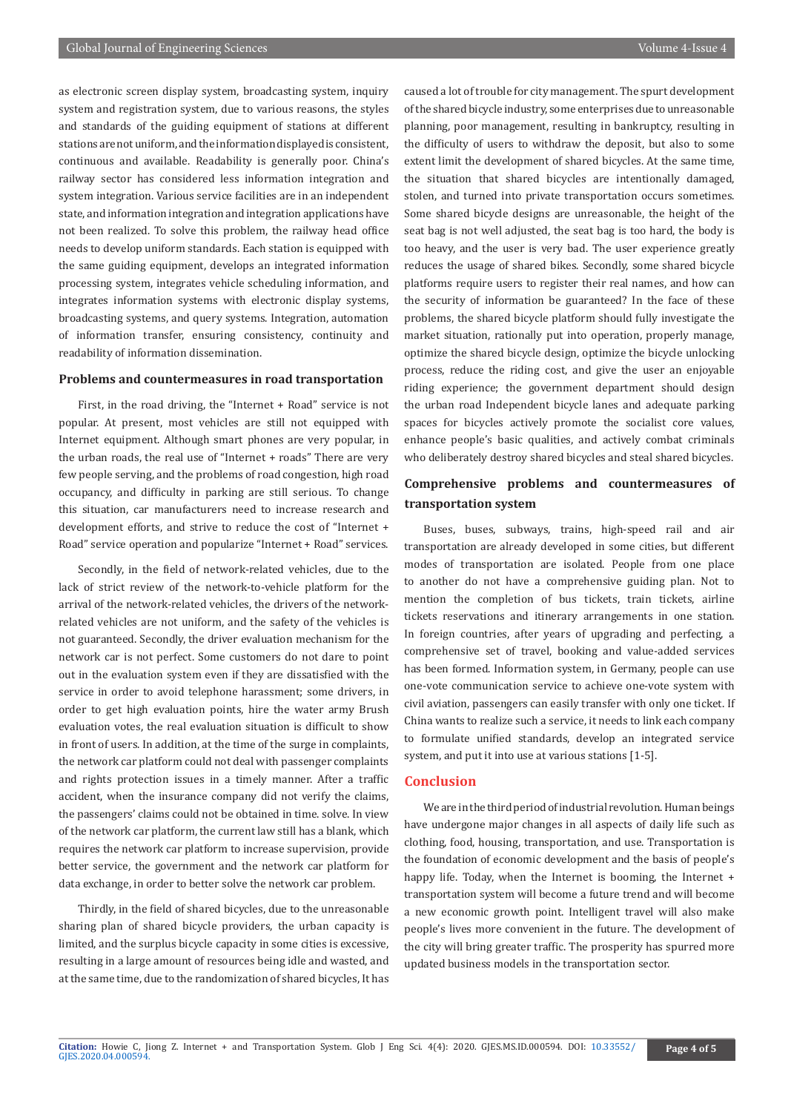as electronic screen display system, broadcasting system, inquiry system and registration system, due to various reasons, the styles and standards of the guiding equipment of stations at different stations are not uniform, and the information displayed is consistent, continuous and available. Readability is generally poor. China's railway sector has considered less information integration and system integration. Various service facilities are in an independent state, and information integration and integration applications have not been realized. To solve this problem, the railway head office needs to develop uniform standards. Each station is equipped with the same guiding equipment, develops an integrated information processing system, integrates vehicle scheduling information, and integrates information systems with electronic display systems, broadcasting systems, and query systems. Integration, automation of information transfer, ensuring consistency, continuity and readability of information dissemination.

### **Problems and countermeasures in road transportation**

First, in the road driving, the "Internet + Road" service is not popular. At present, most vehicles are still not equipped with Internet equipment. Although smart phones are very popular, in the urban roads, the real use of "Internet + roads" There are very few people serving, and the problems of road congestion, high road occupancy, and difficulty in parking are still serious. To change this situation, car manufacturers need to increase research and development efforts, and strive to reduce the cost of "Internet + Road" service operation and popularize "Internet + Road" services.

Secondly, in the field of network-related vehicles, due to the lack of strict review of the network-to-vehicle platform for the arrival of the network-related vehicles, the drivers of the networkrelated vehicles are not uniform, and the safety of the vehicles is not guaranteed. Secondly, the driver evaluation mechanism for the network car is not perfect. Some customers do not dare to point out in the evaluation system even if they are dissatisfied with the service in order to avoid telephone harassment; some drivers, in order to get high evaluation points, hire the water army Brush evaluation votes, the real evaluation situation is difficult to show in front of users. In addition, at the time of the surge in complaints, the network car platform could not deal with passenger complaints and rights protection issues in a timely manner. After a traffic accident, when the insurance company did not verify the claims, the passengers' claims could not be obtained in time. solve. In view of the network car platform, the current law still has a blank, which requires the network car platform to increase supervision, provide better service, the government and the network car platform for data exchange, in order to better solve the network car problem.

Thirdly, in the field of shared bicycles, due to the unreasonable sharing plan of shared bicycle providers, the urban capacity is limited, and the surplus bicycle capacity in some cities is excessive, resulting in a large amount of resources being idle and wasted, and at the same time, due to the randomization of shared bicycles, It has

caused a lot of trouble for city management. The spurt development of the shared bicycle industry, some enterprises due to unreasonable planning, poor management, resulting in bankruptcy, resulting in the difficulty of users to withdraw the deposit, but also to some extent limit the development of shared bicycles. At the same time, the situation that shared bicycles are intentionally damaged, stolen, and turned into private transportation occurs sometimes. Some shared bicycle designs are unreasonable, the height of the seat bag is not well adjusted, the seat bag is too hard, the body is too heavy, and the user is very bad. The user experience greatly reduces the usage of shared bikes. Secondly, some shared bicycle platforms require users to register their real names, and how can the security of information be guaranteed? In the face of these problems, the shared bicycle platform should fully investigate the market situation, rationally put into operation, properly manage, optimize the shared bicycle design, optimize the bicycle unlocking process, reduce the riding cost, and give the user an enjoyable riding experience; the government department should design the urban road Independent bicycle lanes and adequate parking spaces for bicycles actively promote the socialist core values, enhance people's basic qualities, and actively combat criminals who deliberately destroy shared bicycles and steal shared bicycles.

# **Comprehensive problems and countermeasures of transportation system**

Buses, buses, subways, trains, high-speed rail and air transportation are already developed in some cities, but different modes of transportation are isolated. People from one place to another do not have a comprehensive guiding plan. Not to mention the completion of bus tickets, train tickets, airline tickets reservations and itinerary arrangements in one station. In foreign countries, after years of upgrading and perfecting, a comprehensive set of travel, booking and value-added services has been formed. Information system, in Germany, people can use one-vote communication service to achieve one-vote system with civil aviation, passengers can easily transfer with only one ticket. If China wants to realize such a service, it needs to link each company to formulate unified standards, develop an integrated service system, and put it into use at various stations [1-5].

# **Conclusion**

We are in the third period of industrial revolution. Human beings have undergone major changes in all aspects of daily life such as clothing, food, housing, transportation, and use. Transportation is the foundation of economic development and the basis of people's happy life. Today, when the Internet is booming, the Internet + transportation system will become a future trend and will become a new economic growth point. Intelligent travel will also make people's lives more convenient in the future. The development of the city will bring greater traffic. The prosperity has spurred more updated business models in the transportation sector.